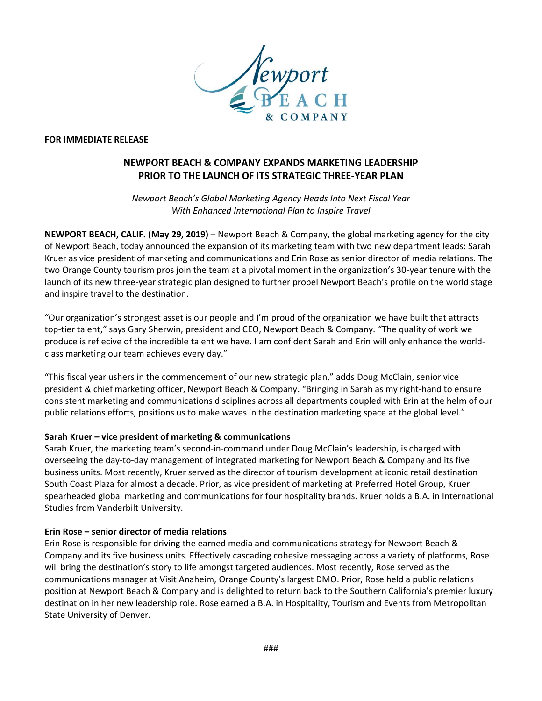

#### **FOR IMMEDIATE RELEASE**

# **NEWPORT BEACH & COMPANY EXPANDS MARKETING LEADERSHIP PRIOR TO THE LAUNCH OF ITS STRATEGIC THREE-YEAR PLAN**

*Newport Beach's Global Marketing Agency Heads Into Next Fiscal Year With Enhanced International Plan to Inspire Travel*

**NEWPORT BEACH, CALIF. (May 29, 2019)** – Newport Beach & Company, the global marketing agency for the city of Newport Beach, today announced the expansion of its marketing team with two new department leads: Sarah Kruer as vice president of marketing and communications and Erin Rose as senior director of media relations. The two Orange County tourism pros join the team at a pivotal moment in the organization's 30-year tenure with the launch of its new three-year strategic plan designed to further propel Newport Beach's profile on the world stage and inspire travel to the destination.

"Our organization's strongest asset is our people and I'm proud of the organization we have built that attracts top-tier talent," says Gary Sherwin, president and CEO, Newport Beach & Company. "The quality of work we produce is reflecive of the incredible talent we have. I am confident Sarah and Erin will only enhance the worldclass marketing our team achieves every day."

"This fiscal year ushers in the commencement of our new strategic plan," adds Doug McClain, senior vice president & chief marketing officer, Newport Beach & Company. "Bringing in Sarah as my right-hand to ensure consistent marketing and communications disciplines across all departments coupled with Erin at the helm of our public relations efforts, positions us to make waves in the destination marketing space at the global level."

#### **Sarah Kruer – vice president of marketing & communications**

Sarah Kruer, the marketing team's second-in-command under Doug McClain's leadership, is charged with overseeing the day-to-day management of integrated marketing for Newport Beach & Company and its five business units. Most recently, Kruer served as the director of tourism development at iconic retail destination South Coast Plaza for almost a decade. Prior, as vice president of marketing at Preferred Hotel Group, Kruer spearheaded global marketing and communications for four hospitality brands. Kruer holds a B.A. in International Studies from Vanderbilt University.

#### **Erin Rose – senior director of media relations**

Erin Rose is responsible for driving the earned media and communications strategy for Newport Beach & Company and its five business units. Effectively cascading cohesive messaging across a variety of platforms, Rose will bring the destination's story to life amongst targeted audiences. Most recently, Rose served as the communications manager at Visit Anaheim, Orange County's largest DMO. Prior, Rose held a public relations position at Newport Beach & Company and is delighted to return back to the Southern California's premier luxury destination in her new leadership role. Rose earned a B.A. in Hospitality, Tourism and Events from Metropolitan State University of Denver.